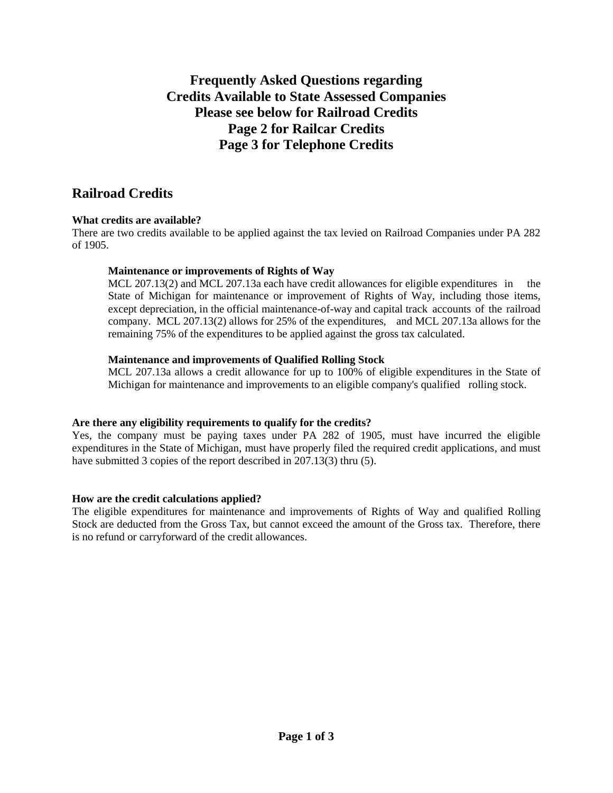# **Frequently Asked Questions regarding Credits Available to State Assessed Companies Please see below for Railroad Credits Page 2 for Railcar Credits Page 3 for Telephone Credits**

# **Railroad Credits**

# **What credits are available?**

There are two credits available to be applied against the tax levied on Railroad Companies under PA 282 of 1905.

## **Maintenance or improvements of Rights of Way**

MCL 207.13(2) and MCL 207.13a each have credit allowances for eligible expenditures in the State of Michigan for maintenance or improvement of Rights of Way, including those items, except depreciation, in the official maintenance-of-way and capital track accounts of the railroad company. MCL 207.13(2) allows for 25% of the expenditures, and MCL 207.13a allows for the remaining 75% of the expenditures to be applied against the gross tax calculated.

## **Maintenance and improvements of Qualified Rolling Stock**

MCL 207.13a allows a credit allowance for up to 100% of eligible expenditures in the State of Michigan for maintenance and improvements to an eligible company's qualified rolling stock.

## **Are there any eligibility requirements to qualify for the credits?**

Yes, the company must be paying taxes under PA 282 of 1905, must have incurred the eligible expenditures in the State of Michigan, must have properly filed the required credit applications, and must have submitted 3 copies of the report described in 207.13(3) thru (5).

## **How are the credit calculations applied?**

The eligible expenditures for maintenance and improvements of Rights of Way and qualified Rolling Stock are deducted from the Gross Tax, but cannot exceed the amount of the Gross tax. Therefore, there is no refund or carryforward of the credit allowances.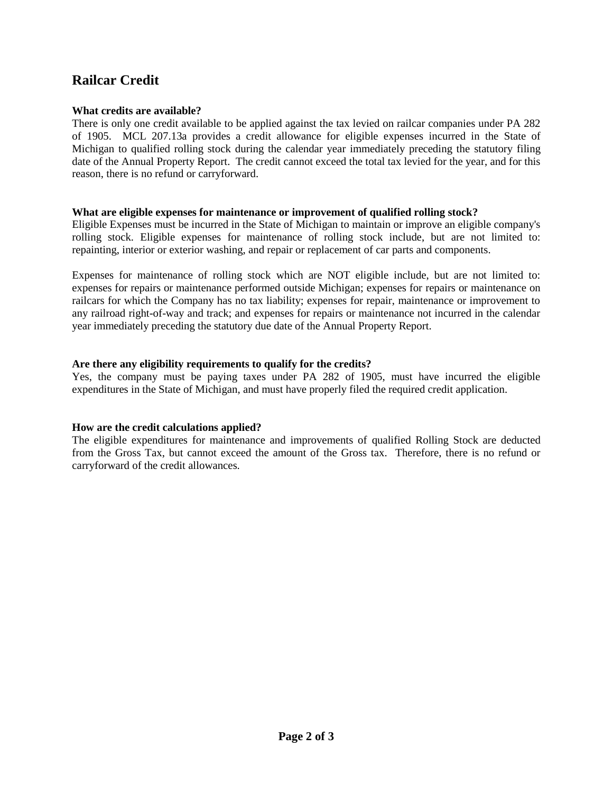# **Railcar Credit**

## **What credits are available?**

There is only one credit available to be applied against the tax levied on railcar companies under PA 282 of 1905. MCL 207.13a provides a credit allowance for eligible expenses incurred in the State of Michigan to qualified rolling stock during the calendar year immediately preceding the statutory filing date of the Annual Property Report. The credit cannot exceed the total tax levied for the year, and for this reason, there is no refund or carryforward.

#### **What are eligible expenses for maintenance or improvement of qualified rolling stock?**

Eligible Expenses must be incurred in the State of Michigan to maintain or improve an eligible company's rolling stock. Eligible expenses for maintenance of rolling stock include, but are not limited to: repainting, interior or exterior washing, and repair or replacement of car parts and components.

Expenses for maintenance of rolling stock which are NOT eligible include, but are not limited to: expenses for repairs or maintenance performed outside Michigan; expenses for repairs or maintenance on railcars for which the Company has no tax liability; expenses for repair, maintenance or improvement to any railroad right-of-way and track; and expenses for repairs or maintenance not incurred in the calendar year immediately preceding the statutory due date of the Annual Property Report.

## **Are there any eligibility requirements to qualify for the credits?**

Yes, the company must be paying taxes under PA 282 of 1905, must have incurred the eligible expenditures in the State of Michigan, and must have properly filed the required credit application.

## **How are the credit calculations applied?**

The eligible expenditures for maintenance and improvements of qualified Rolling Stock are deducted from the Gross Tax, but cannot exceed the amount of the Gross tax. Therefore, there is no refund or carryforward of the credit allowances.